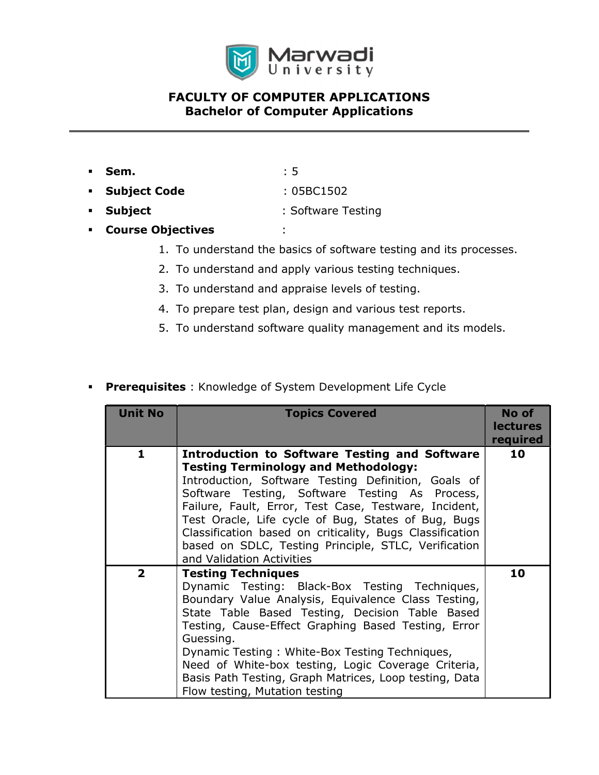

# FACULTY OF COMPUTER APPLICATIONS Bachelor of Computer Applications

- **Sem.**  $: 5$ Subject Code : 05BC1502
- Subject : Software Testing
- Course Objectives :
	- 1. To understand the basics of software testing and its processes.
	- 2. To understand and apply various testing techniques.
	- 3. To understand and appraise levels of testing.
	- 4. To prepare test plan, design and various test reports.
	- 5. To understand software quality management and its models.

## **Prerequisites** : Knowledge of System Development Life Cycle

| <b>Unit No</b> | <b>Topics Covered</b>                                                                                                                                                                                                                                                                                                                                                                                                                                                         | No of<br><b>lectures</b><br>required |
|----------------|-------------------------------------------------------------------------------------------------------------------------------------------------------------------------------------------------------------------------------------------------------------------------------------------------------------------------------------------------------------------------------------------------------------------------------------------------------------------------------|--------------------------------------|
| 1              | <b>Introduction to Software Testing and Software</b><br><b>Testing Terminology and Methodology:</b><br>Introduction, Software Testing Definition, Goals of<br>Software Testing, Software Testing As Process,<br>Failure, Fault, Error, Test Case, Testware, Incident,<br>Test Oracle, Life cycle of Bug, States of Bug, Bugs<br>Classification based on criticality, Bugs Classification<br>based on SDLC, Testing Principle, STLC, Verification<br>and Validation Activities | 10                                   |
| $\overline{2}$ | <b>Testing Techniques</b><br>Dynamic Testing: Black-Box Testing Techniques,<br>Boundary Value Analysis, Equivalence Class Testing,<br>State Table Based Testing, Decision Table Based<br>Testing, Cause-Effect Graphing Based Testing, Error<br>Guessing.<br>Dynamic Testing: White-Box Testing Techniques,<br>Need of White-box testing, Logic Coverage Criteria,<br>Basis Path Testing, Graph Matrices, Loop testing, Data<br>Flow testing, Mutation testing                | 10                                   |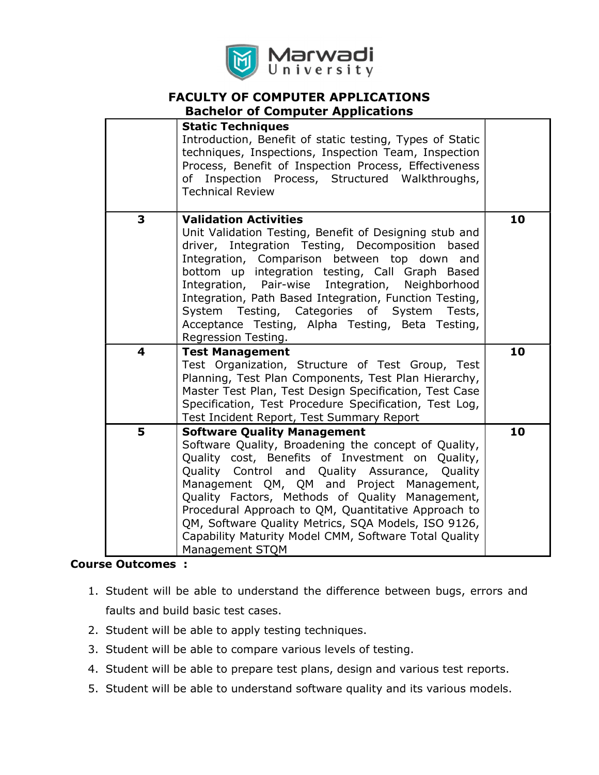

# FACULTY OF COMPUTER APPLICATIONS

## Bachelor of Computer Applications

|   | <b>Static Techniques</b><br>Introduction, Benefit of static testing, Types of Static<br>techniques, Inspections, Inspection Team, Inspection<br>Process, Benefit of Inspection Process, Effectiveness<br>Inspection Process, Structured Walkthroughs,<br>of<br><b>Technical Review</b>                                                                                                                                                                                                         |    |
|---|------------------------------------------------------------------------------------------------------------------------------------------------------------------------------------------------------------------------------------------------------------------------------------------------------------------------------------------------------------------------------------------------------------------------------------------------------------------------------------------------|----|
| 3 | <b>Validation Activities</b><br>Unit Validation Testing, Benefit of Designing stub and<br>driver, Integration Testing, Decomposition<br>based<br>Integration, Comparison between top down<br>and<br>bottom up integration testing, Call Graph Based<br>Integration, Pair-wise<br>Integration, Neighborhood<br>Integration, Path Based Integration, Function Testing,<br>System Testing, Categories of System Tests,<br>Acceptance Testing, Alpha Testing, Beta Testing,<br>Regression Testing. | 10 |
| 4 | <b>Test Management</b><br>Test Organization, Structure of Test Group, Test<br>Planning, Test Plan Components, Test Plan Hierarchy,<br>Master Test Plan, Test Design Specification, Test Case<br>Specification, Test Procedure Specification, Test Log,<br>Test Incident Report, Test Summary Report                                                                                                                                                                                            | 10 |
| 5 | <b>Software Quality Management</b><br>Software Quality, Broadening the concept of Quality,<br>Quality cost, Benefits of Investment on Quality,<br>Quality Control and Quality Assurance, Quality<br>Management QM, QM and Project Management,<br>Quality Factors, Methods of Quality Management,<br>Procedural Approach to QM, Quantitative Approach to<br>QM, Software Quality Metrics, SQA Models, ISO 9126,<br>Capability Maturity Model CMM, Software Total Quality<br>Management STQM     | 10 |

#### Course Outcomes :

- 1. Student will be able to understand the difference between bugs, errors and faults and build basic test cases.
- 2. Student will be able to apply testing techniques.
- 3. Student will be able to compare various levels of testing.
- 4. Student will be able to prepare test plans, design and various test reports.
- 5. Student will be able to understand software quality and its various models.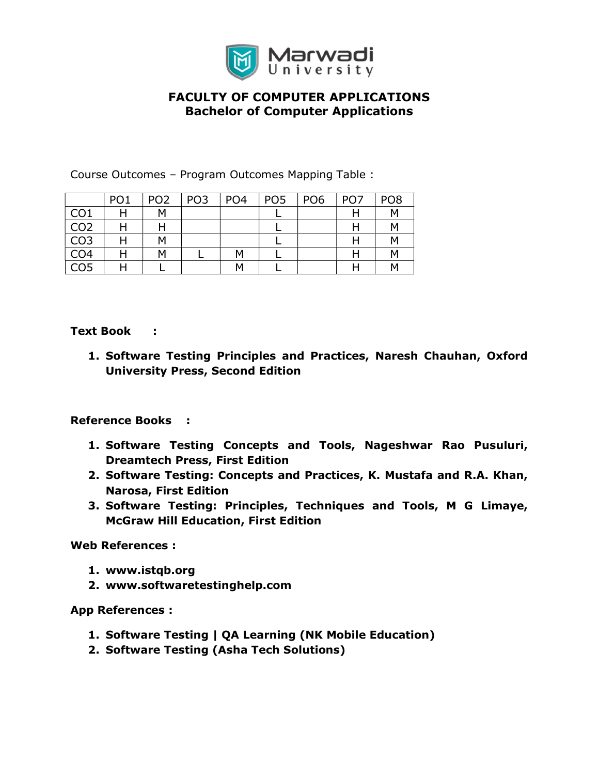

# FACULTY OF COMPUTER APPLICATIONS Bachelor of Computer Applications

Course Outcomes – Program Outcomes Mapping Table :

|                 | PO <sub>1</sub> | PO <sub>2</sub> | PO <sub>3</sub> | PO <sub>4</sub> | PO <sub>5</sub> | PO <sub>6</sub> | PO <sub>7</sub> | PO <sub>8</sub> |
|-----------------|-----------------|-----------------|-----------------|-----------------|-----------------|-----------------|-----------------|-----------------|
| CO <sub>1</sub> |                 | M               |                 |                 |                 |                 |                 | M               |
| CO <sub>2</sub> |                 |                 |                 |                 |                 |                 | п               | M               |
| CO <sub>3</sub> |                 | м               |                 |                 |                 |                 |                 | M               |
| CO <sub>4</sub> |                 | М               |                 | M               |                 |                 |                 | M               |
| CO <sub>5</sub> | . .             |                 |                 | м               |                 |                 |                 | M               |

Text Book :

1. Software Testing Principles and Practices, Naresh Chauhan, Oxford University Press, Second Edition

#### Reference Books :

- 1. Software Testing Concepts and Tools, Nageshwar Rao Pusuluri, Dreamtech Press, First Edition
- 2. Software Testing: Concepts and Practices, K. Mustafa and R.A. Khan, Narosa, First Edition
- 3. Software Testing: Principles, Techniques and Tools, M G Limaye, McGraw Hill Education, First Edition

Web References :

- 1. www.istqb.org
- 2. www.softwaretestinghelp.com

App References :

- 1. Software Testing | QA Learning (NK Mobile Education)
- 2. Software Testing (Asha Tech Solutions)